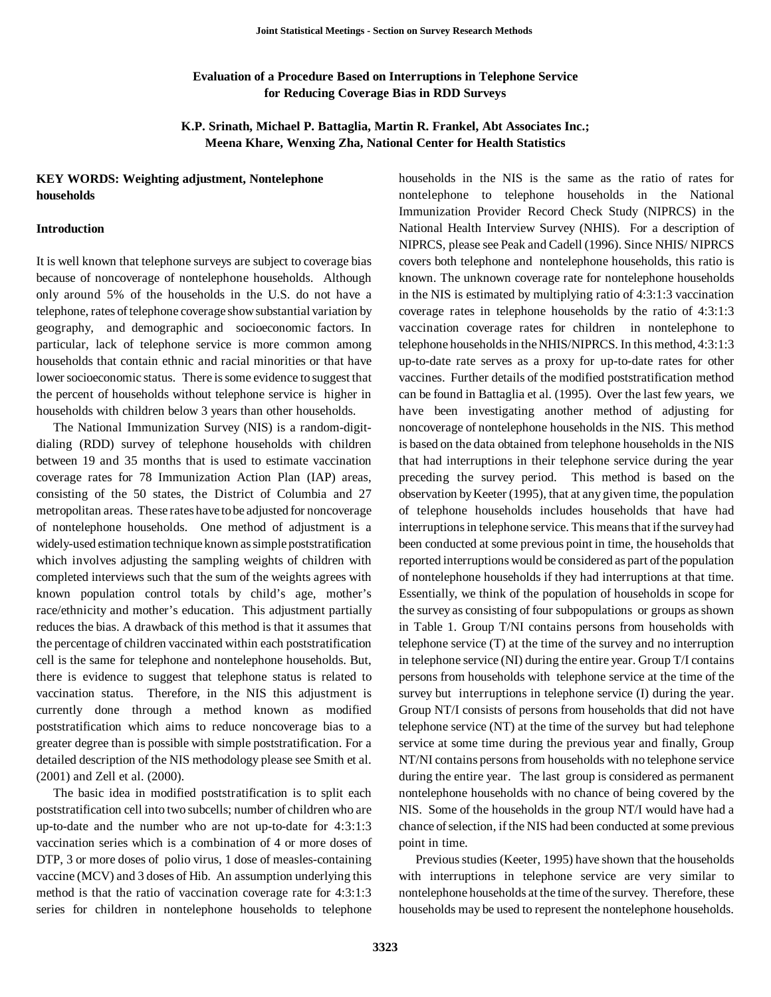## **Evaluation of a Procedure Based on Interruptions in Telephone Service for Reducing Coverage Bias in RDD Surveys**

**K.P. Srinath, Michael P. Battaglia, Martin R. Frankel, Abt Associates Inc.; Meena Khare, Wenxing Zha, National Center for Health Statistics** 

### **KEY WORDS: Weighting adjustment, Nontelephone households**

#### **Introduction**

It is well known that telephone surveys are subject to coverage bias because of noncoverage of nontelephone households. Although only around 5% of the households in the U.S. do not have a telephone, rates of telephone coverage show substantial variation by geography, and demographic and socioeconomic factors. In particular, lack of telephone service is more common among households that contain ethnic and racial minorities or that have lower socioeconomic status. There is some evidence to suggest that the percent of households without telephone service is higher in households with children below 3 years than other households.

The National Immunization Survey (NIS) is a random-digitdialing (RDD) survey of telephone households with children between 19 and 35 months that is used to estimate vaccination coverage rates for 78 Immunization Action Plan (IAP) areas, consisting of the 50 states, the District of Columbia and 27 metropolitan areas. These rates have to be adjusted for noncoverage of nontelephone households. One method of adjustment is a widely-used estimation technique known as simple poststratification which involves adjusting the sampling weights of children with completed interviews such that the sum of the weights agrees with known population control totals by child's age, mother's race/ethnicity and mother's education. This adjustment partially reduces the bias. A drawback of this method is that it assumes that the percentage of children vaccinated within each poststratification cell is the same for telephone and nontelephone households. But, there is evidence to suggest that telephone status is related to vaccination status. Therefore, in the NIS this adjustment is currently done through a method known as modified poststratification which aims to reduce noncoverage bias to a greater degree than is possible with simple poststratification. For a detailed description of the NIS methodology please see Smith et al. (2001) and Zell et al. (2000).

The basic idea in modified poststratification is to split each poststratification cell into two subcells; number of children who are up-to-date and the number who are not up-to-date for 4:3:1:3 vaccination series which is a combination of 4 or more doses of DTP, 3 or more doses of polio virus, 1 dose of measles-containing vaccine (MCV) and 3 doses of Hib. An assumption underlying this method is that the ratio of vaccination coverage rate for 4:3:1:3 series for children in nontelephone households to telephone

households in the NIS is the same as the ratio of rates for nontelephone to telephone households in the National Immunization Provider Record Check Study (NIPRCS) in the National Health Interview Survey (NHIS). For a description of NIPRCS, please see Peak and Cadell (1996). Since NHIS/ NIPRCS covers both telephone and nontelephone households, this ratio is known. The unknown coverage rate for nontelephone households in the NIS is estimated by multiplying ratio of 4:3:1:3 vaccination coverage rates in telephone households by the ratio of 4:3:1:3 vaccination coverage rates for children in nontelephone to telephone households in the NHIS/NIPRCS. In this method, 4:3:1:3 up-to-date rate serves as a proxy for up-to-date rates for other vaccines. Further details of the modified poststratification method can be found in Battaglia et al. (1995). Over the last few years, we have been investigating another method of adjusting for noncoverage of nontelephone households in the NIS. This method is based on the data obtained from telephone households in the NIS that had interruptions in their telephone service during the year preceding the survey period. This method is based on the observation by Keeter (1995), that at any given time, the population of telephone households includes households that have had interruptions in telephone service. This means that if the survey had been conducted at some previous point in time, the households that reported interruptions would be considered as part of the population of nontelephone households if they had interruptions at that time. Essentially, we think of the population of households in scope for the survey as consisting of four subpopulations or groups as shown in Table 1. Group T/NI contains persons from households with telephone service (T) at the time of the survey and no interruption in telephone service (NI) during the entire year. Group T/I contains persons from households with telephone service at the time of the survey but interruptions in telephone service (I) during the year. Group NT/I consists of persons from households that did not have telephone service (NT) at the time of the survey but had telephone service at some time during the previous year and finally, Group NT/NI contains persons from households with no telephone service during the entire year. The last group is considered as permanent nontelephone households with no chance of being covered by the NIS. Some of the households in the group NT/I would have had a chance of selection, if the NIS had been conducted at some previous point in time.

Previous studies (Keeter, 1995) have shown that the households with interruptions in telephone service are very similar to nontelephone households at the time of the survey. Therefore, these households may be used to represent the nontelephone households.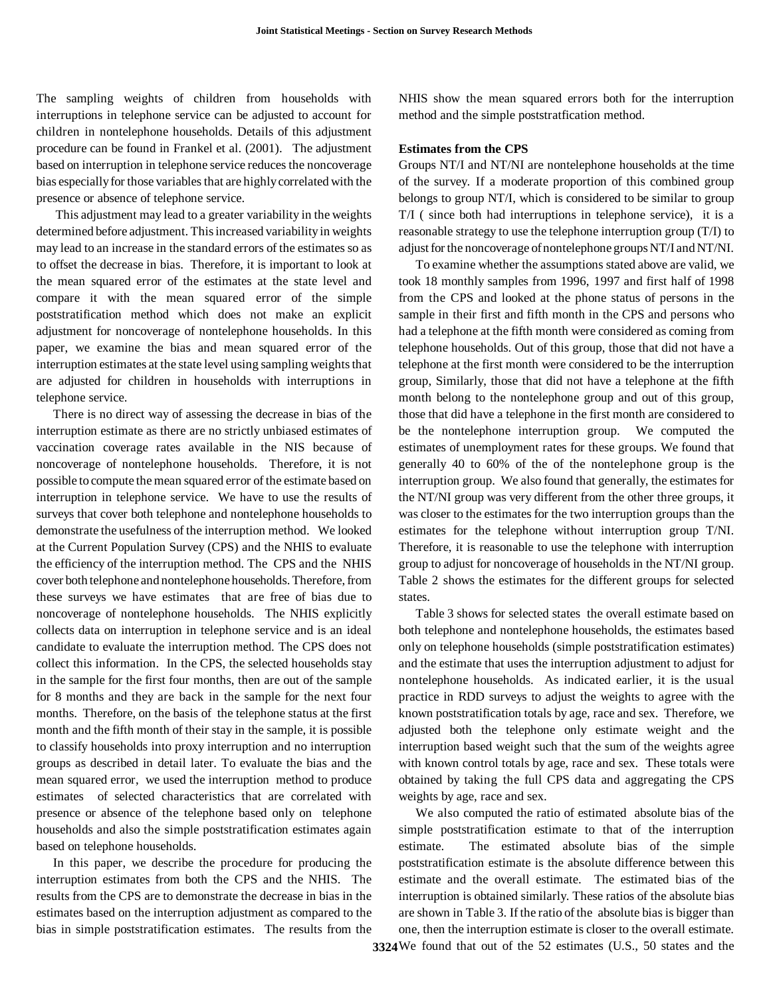The sampling weights of children from households with interruptions in telephone service can be adjusted to account for children in nontelephone households. Details of this adjustment procedure can be found in Frankel et al. (2001). The adjustment based on interruption in telephone service reduces the noncoverage bias especially for those variables that are highly correlated with the presence or absence of telephone service.

This adjustment may lead to a greater variability in the weights determined before adjustment. This increased variability in weights may lead to an increase in the standard errors of the estimates so as to offset the decrease in bias. Therefore, it is important to look at the mean squared error of the estimates at the state level and compare it with the mean squared error of the simple poststratification method which does not make an explicit adjustment for noncoverage of nontelephone households. In this paper, we examine the bias and mean squared error of the interruption estimates at the state level using sampling weights that are adjusted for children in households with interruptions in telephone service.

There is no direct way of assessing the decrease in bias of the interruption estimate as there are no strictly unbiased estimates of vaccination coverage rates available in the NIS because of noncoverage of nontelephone households. Therefore, it is not possible to compute the mean squared error of the estimate based on interruption in telephone service. We have to use the results of surveys that cover both telephone and nontelephone households to demonstrate the usefulness of the interruption method. We looked at the Current Population Survey (CPS) and the NHIS to evaluate the efficiency of the interruption method. The CPS and the NHIS cover both telephone and nontelephone households. Therefore, from these surveys we have estimates that are free of bias due to noncoverage of nontelephone households. The NHIS explicitly collects data on interruption in telephone service and is an ideal candidate to evaluate the interruption method. The CPS does not collect this information. In the CPS, the selected households stay in the sample for the first four months, then are out of the sample for 8 months and they are back in the sample for the next four months. Therefore, on the basis of the telephone status at the first month and the fifth month of their stay in the sample, it is possible to classify households into proxy interruption and no interruption groups as described in detail later. To evaluate the bias and the mean squared error, we used the interruption method to produce estimates of selected characteristics that are correlated with presence or absence of the telephone based only on telephone households and also the simple poststratification estimates again based on telephone households.

In this paper, we describe the procedure for producing the interruption estimates from both the CPS and the NHIS. The results from the CPS are to demonstrate the decrease in bias in the estimates based on the interruption adjustment as compared to the bias in simple poststratification estimates. The results from the

NHIS show the mean squared errors both for the interruption method and the simple poststratfication method.

### **Estimates from the CPS**

Groups NT/I and NT/NI are nontelephone households at the time of the survey. If a moderate proportion of this combined group belongs to group NT/I, which is considered to be similar to group T/I ( since both had interruptions in telephone service), it is a reasonable strategy to use the telephone interruption group (T/I) to adjust for the noncoverage of nontelephone groups NT/I and NT/NI.

To examine whether the assumptions stated above are valid, we took 18 monthly samples from 1996, 1997 and first half of 1998 from the CPS and looked at the phone status of persons in the sample in their first and fifth month in the CPS and persons who had a telephone at the fifth month were considered as coming from telephone households. Out of this group, those that did not have a telephone at the first month were considered to be the interruption group, Similarly, those that did not have a telephone at the fifth month belong to the nontelephone group and out of this group, those that did have a telephone in the first month are considered to be the nontelephone interruption group. We computed the estimates of unemployment rates for these groups. We found that generally 40 to 60% of the of the nontelephone group is the interruption group. We also found that generally, the estimates for the NT/NI group was very different from the other three groups, it was closer to the estimates for the two interruption groups than the estimates for the telephone without interruption group T/NI. Therefore, it is reasonable to use the telephone with interruption group to adjust for noncoverage of households in the NT/NI group. Table 2 shows the estimates for the different groups for selected states.

Table 3 shows for selected states the overall estimate based on both telephone and nontelephone households, the estimates based only on telephone households (simple poststratification estimates) and the estimate that uses the interruption adjustment to adjust for nontelephone households. As indicated earlier, it is the usual practice in RDD surveys to adjust the weights to agree with the known poststratification totals by age, race and sex. Therefore, we adjusted both the telephone only estimate weight and the interruption based weight such that the sum of the weights agree with known control totals by age, race and sex. These totals were obtained by taking the full CPS data and aggregating the CPS weights by age, race and sex.

We also computed the ratio of estimated absolute bias of the simple poststratification estimate to that of the interruption estimate. The estimated absolute bias of the simple poststratification estimate is the absolute difference between this estimate and the overall estimate. The estimated bias of the interruption is obtained similarly. These ratios of the absolute bias are shown in Table 3. If the ratio of the absolute bias is bigger than one, then the interruption estimate is closer to the overall estimate.

**3324**  We found that out of the 52 estimates (U.S., 50 states and the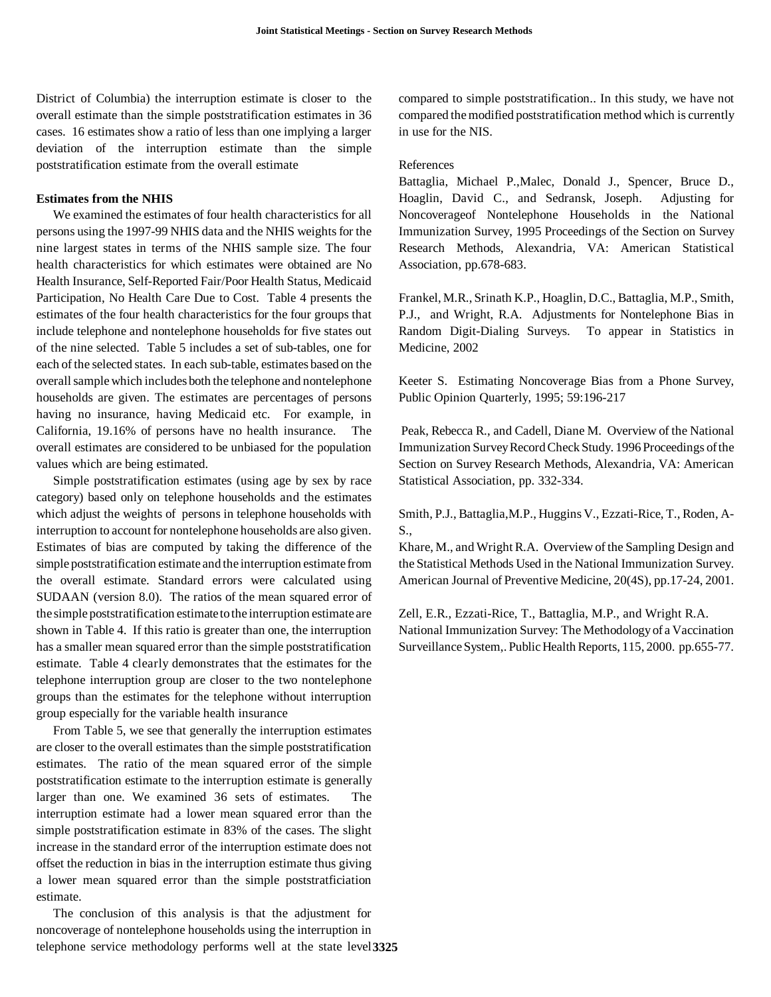District of Columbia) the interruption estimate is closer to the overall estimate than the simple poststratification estimates in 36 cases. 16 estimates show a ratio of less than one implying a larger deviation of the interruption estimate than the simple poststratification estimate from the overall estimate

#### **Estimates from the NHIS**

We examined the estimates of four health characteristics for all persons using the 1997-99 NHIS data and the NHIS weights for the nine largest states in terms of the NHIS sample size. The four health characteristics for which estimates were obtained are No Health Insurance, Self-Reported Fair/Poor Health Status, Medicaid Participation, No Health Care Due to Cost. Table 4 presents the estimates of the four health characteristics for the four groups that include telephone and nontelephone households for five states out of the nine selected. Table 5 includes a set of sub-tables, one for each of the selected states. In each sub-table, estimates based on the overall sample which includes both the telephone and nontelephone households are given. The estimates are percentages of persons having no insurance, having Medicaid etc. For example, in California, 19.16% of persons have no health insurance. The overall estimates are considered to be unbiased for the population values which are being estimated.

Simple poststratification estimates (using age by sex by race category) based only on telephone households and the estimates which adjust the weights of persons in telephone households with interruption to account for nontelephone households are also given. Estimates of bias are computed by taking the difference of the simple poststratification estimate and the interruption estimate from the overall estimate. Standard errors were calculated using SUDAAN (version 8.0). The ratios of the mean squared error of the simple poststratification estimate to the interruption estimate are shown in Table 4. If this ratio is greater than one, the interruption has a smaller mean squared error than the simple poststratification estimate. Table 4 clearly demonstrates that the estimates for the telephone interruption group are closer to the two nontelephone groups than the estimates for the telephone without interruption group especially for the variable health insurance

From Table 5, we see that generally the interruption estimates are closer to the overall estimates than the simple poststratification estimates. The ratio of the mean squared error of the simple poststratification estimate to the interruption estimate is generally larger than one. We examined 36 sets of estimates. The interruption estimate had a lower mean squared error than the simple poststratification estimate in 83% of the cases. The slight increase in the standard error of the interruption estimate does not offset the reduction in bias in the interruption estimate thus giving a lower mean squared error than the simple poststratficiation estimate.

The conclusion of this analysis is that the adjustment for noncoverage of nontelephone households using the interruption in telephone service methodology performs well at the state level **3325** 

compared to simple poststratification.. In this study, we have not compared the modified poststratification method which is currently in use for the NIS.

### References

Battaglia, Michael P.,Malec, Donald J., Spencer, Bruce D., Hoaglin, David C., and Sedransk, Joseph. Adjusting for Noncoverageof Nontelephone Households in the National Immunization Survey, 1995 Proceedings of the Section on Survey Research Methods, Alexandria, VA: American Statistical Association, pp.678-683.

Frankel, M.R., Srinath K.P., Hoaglin, D.C., Battaglia, M.P., Smith, P.J., and Wright, R.A. Adjustments for Nontelephone Bias in Random Digit-Dialing Surveys. To appear in Statistics in Medicine, 2002

Keeter S. Estimating Noncoverage Bias from a Phone Survey, Public Opinion Quarterly, 1995; 59:196-217

Peak, Rebecca R., and Cadell, Diane M. Overview of the National Immunization Survey Record Check Study. 1996 Proceedings of the Section on Survey Research Methods, Alexandria, VA: American Statistical Association, pp. 332-334.

Smith, P.J., Battaglia,M.P., Huggins V., Ezzati-Rice, T., Roden, A S.,

Khare, M., and Wright R.A. Overview of the Sampling Design and the Statistical Methods Used in the National Immunization Survey. American Journal of Preventive Medicine, 20(4S), pp.17-24, 2001.

Zell, E.R., Ezzati-Rice, T., Battaglia, M.P., and Wright R.A. National Immunization Survey: The Methodology of a Vaccination Surveillance System,. Public Health Reports, 115, 2000. pp.655-77.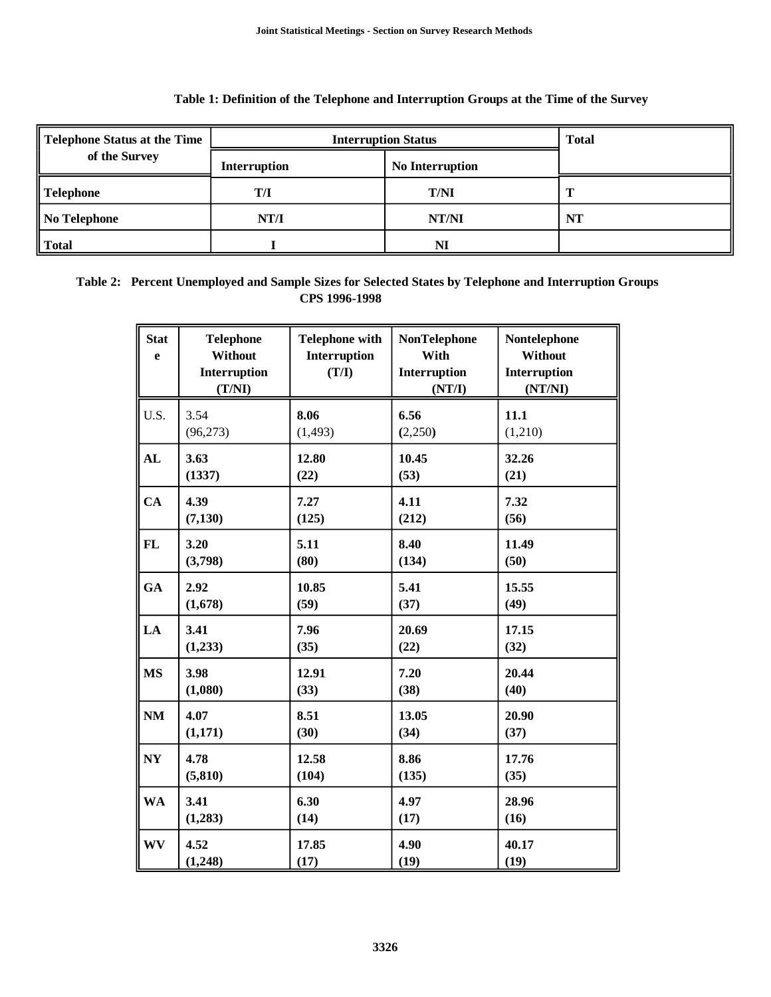| Telephone Status at the Time | <b>Interruption Status</b> | <b>Total</b>           |           |  |
|------------------------------|----------------------------|------------------------|-----------|--|
| of the Survey                | <b>Interruption</b>        | <b>No Interruption</b> |           |  |
| $\parallel$ Telephone        | T/I                        | <b>T/NI</b>            |           |  |
| $\parallel$ No Telephone     | NT/I                       | NT/NI                  | <b>NT</b> |  |
| $\parallel$ Total            |                            | NI                     |           |  |

## **Table 1: Definition of the Telephone and Interruption Groups at the Time of the Survey**

# **Table 2: Percent Unemployed and Sample Sizes for Selected States by Telephone and Interruption Groups CPS 1996-1998**

| <b>Stat</b><br>e | <b>Telephone</b><br>Without<br>Interruption<br>(T/NI) | <b>Telephone with</b><br>Interruption<br>(T/I) | <b>NonTelephone</b><br>With<br>Interruption<br>(NT/I) | Nontelephone<br>Without<br>Interruption<br>(NT/NI) |
|------------------|-------------------------------------------------------|------------------------------------------------|-------------------------------------------------------|----------------------------------------------------|
| U.S.             | 3.54                                                  | 8.06                                           | 6.56                                                  | 11.1                                               |
|                  | (96, 273)                                             | (1, 493)                                       | (2,250)                                               | (1,210)                                            |
| AL               | 3.63                                                  | 12.80                                          | 10.45                                                 | 32.26                                              |
|                  | (1337)                                                | (22)                                           | (53)                                                  | (21)                                               |
| CA               | 4.39                                                  | 7.27                                           | 4.11                                                  | 7.32                                               |
|                  | (7, 130)                                              | (125)                                          | (212)                                                 | (56)                                               |
| FL               | 3.20                                                  | 5.11                                           | 8.40                                                  | 11.49                                              |
|                  | (3,798)                                               | (80)                                           | (134)                                                 | (50)                                               |
| GA               | 2.92                                                  | 10.85                                          | 5.41                                                  | 15.55                                              |
|                  | (1,678)                                               | (59)                                           | (37)                                                  | (49)                                               |
| LA               | 3.41                                                  | 7.96                                           | 20.69                                                 | 17.15                                              |
|                  | (1,233)                                               | (35)                                           | (22)                                                  | (32)                                               |
| <b>MS</b>        | 3.98                                                  | 12.91                                          | 7.20                                                  | 20.44                                              |
|                  | (1,080)                                               | (33)                                           | (38)                                                  | (40)                                               |
| NM               | 4.07                                                  | 8.51                                           | 13.05                                                 | 20.90                                              |
|                  | (1,171)                                               | (30)                                           | (34)                                                  | (37)                                               |
| N <sub>Y</sub>   | 4.78                                                  | 12.58                                          | 8.86                                                  | 17.76                                              |
|                  | (5, 810)                                              | (104)                                          | (135)                                                 | (35)                                               |
| <b>WA</b>        | 3.41                                                  | 6.30                                           | 4.97                                                  | 28.96                                              |
|                  | (1,283)                                               | (14)                                           | (17)                                                  | (16)                                               |
| <b>WV</b>        | 4.52                                                  | 17.85                                          | 4.90                                                  | 40.17                                              |
|                  | (1,248)                                               | (17)                                           | (19)                                                  | (19)                                               |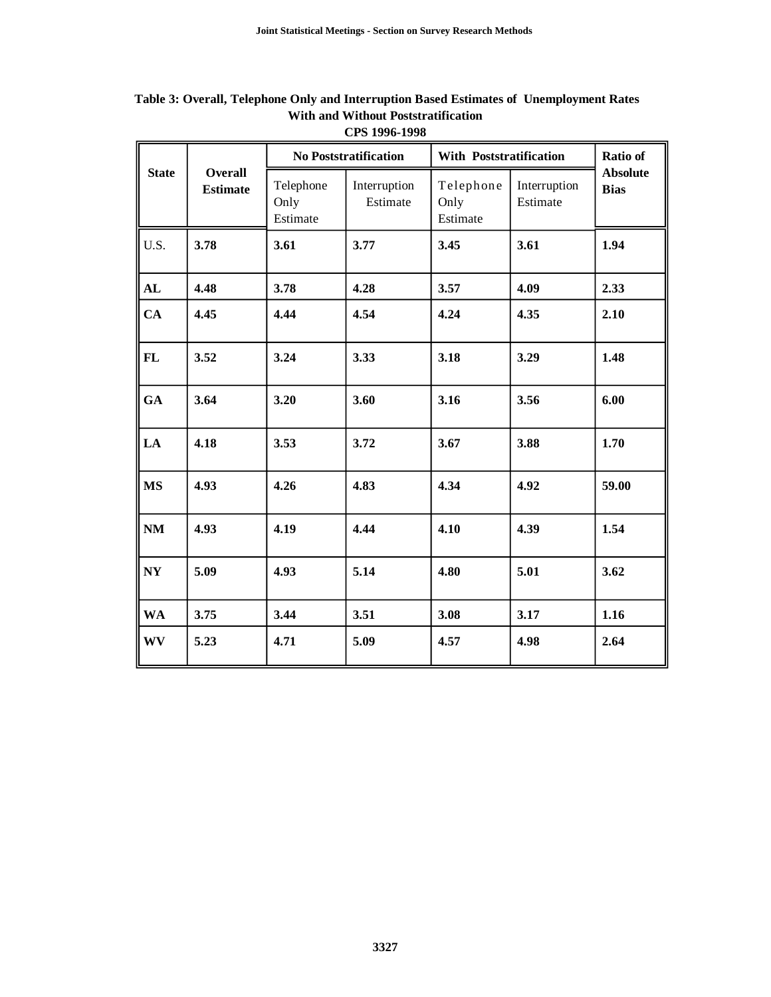|                                 |                |                               | <b>No Poststratification</b> | With Poststratification       | <b>Ratio of</b>          |                                |  |
|---------------------------------|----------------|-------------------------------|------------------------------|-------------------------------|--------------------------|--------------------------------|--|
| <b>State</b><br><b>Estimate</b> | <b>Overall</b> | Telephone<br>Only<br>Estimate | Interruption<br>Estimate     | Telephone<br>Only<br>Estimate | Interruption<br>Estimate | <b>Absolute</b><br><b>Bias</b> |  |
| U.S.                            | 3.78           | 3.61                          | 3.77                         | 3.45                          | 3.61                     | 1.94                           |  |
| AL                              | 4.48           | 3.78                          | 4.28                         | 3.57                          | 4.09                     | 2.33                           |  |
| CA                              | 4.45           | 4.44                          | 4.54                         | 4.24                          | 4.35                     | 2.10                           |  |
| FL                              | 3.52           | 3.24                          | 3.33                         | 3.18                          | 3.29                     | 1.48                           |  |
| GA                              | 3.64           | 3.20                          | 3.60                         | 3.16                          | 3.56                     | 6.00                           |  |
| LA                              | 4.18           | 3.53                          | 3.72                         | 3.67                          | 3.88                     | 1.70                           |  |
| <b>MS</b>                       | 4.93           | 4.26                          | 4.83                         | 4.34                          | 4.92                     | 59.00                          |  |
| NM                              | 4.93           | 4.19                          | 4.44                         | 4.10                          | 4.39                     | 1.54                           |  |
| NY                              | 5.09           | 4.93                          | 5.14                         | 4.80                          | 5.01                     | 3.62                           |  |
| <b>WA</b>                       | 3.75           | 3.44                          | 3.51                         | 3.08                          | 3.17                     | 1.16                           |  |
| <b>WV</b>                       | 5.23           | 4.71                          | 5.09                         | 4.57                          | 4.98                     | 2.64                           |  |

 **Table 3: Overall, Telephone Only and Interruption Based Estimates of Unemployment Rates With and Without Poststratification CPS 1996-1998** 

F

r,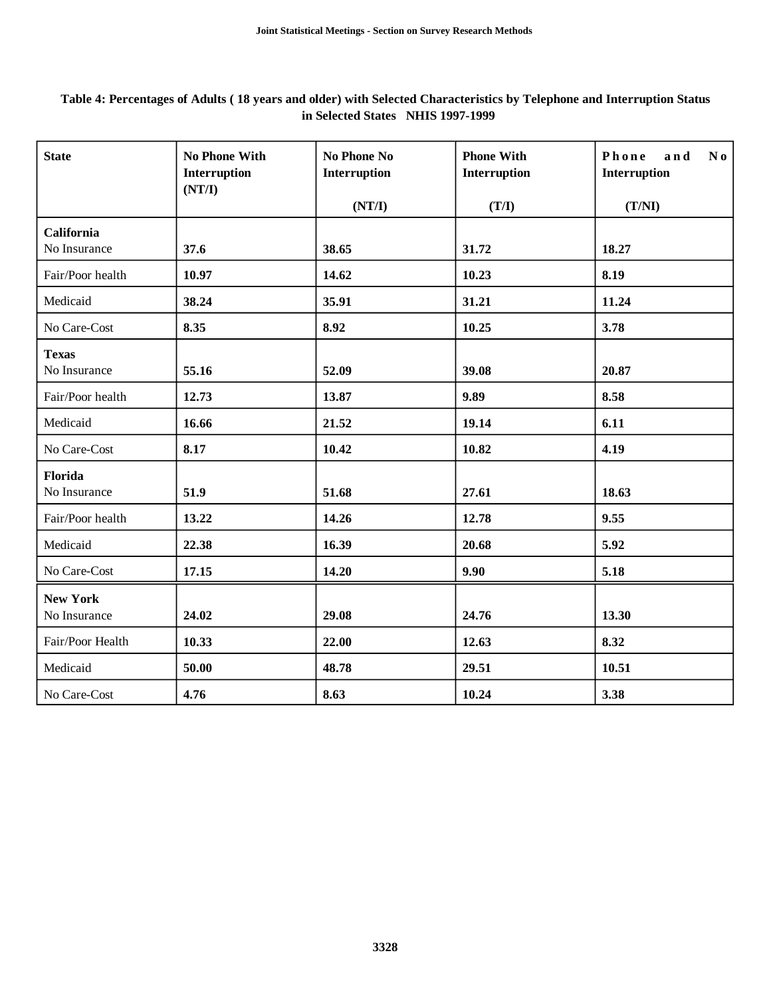# **Table 4: Percentages of Adults ( 18 years and older) with Selected Characteristics by Telephone and Interruption Status in Selected States NHIS 1997-1999**

| <b>State</b>                    | <b>No Phone With</b><br>Interruption<br>(NT/I) | No Phone No<br>Interruption | <b>Phone With</b><br>Interruption | Phone<br>and<br>N <sub>0</sub><br>Interruption |  |
|---------------------------------|------------------------------------------------|-----------------------------|-----------------------------------|------------------------------------------------|--|
|                                 |                                                | (NT/I)                      | (T/I)                             | (T/NI)                                         |  |
| California<br>No Insurance      | 37.6                                           | 38.65                       | 31.72                             | 18.27                                          |  |
| Fair/Poor health                | 10.97                                          | 14.62                       | 10.23                             | 8.19                                           |  |
| Medicaid                        | 38.24                                          | 35.91                       | 31.21                             | 11.24                                          |  |
| No Care-Cost                    | 8.35                                           | 8.92                        | 10.25                             | 3.78                                           |  |
| <b>Texas</b><br>No Insurance    | 55.16                                          | 52.09                       | 39.08                             | 20.87                                          |  |
| Fair/Poor health                | 12.73                                          | 13.87                       | 9.89                              | 8.58                                           |  |
| Medicaid                        | 16.66                                          | 21.52                       | 19.14                             | 6.11                                           |  |
| No Care-Cost                    | 8.17                                           | 10.42                       | 10.82                             | 4.19                                           |  |
| Florida<br>No Insurance         | 51.9                                           | 51.68                       | 27.61                             | 18.63                                          |  |
| Fair/Poor health                | 13.22                                          | 14.26                       | 12.78                             | 9.55                                           |  |
| Medicaid                        | 22.38                                          | 16.39                       | 20.68                             | 5.92                                           |  |
| No Care-Cost                    | 17.15                                          | 14.20                       | 9.90                              | 5.18                                           |  |
| <b>New York</b><br>No Insurance | 24.02                                          | 29.08                       | 24.76                             | 13.30                                          |  |
| Fair/Poor Health                | 10.33                                          | 22.00                       | 12.63                             | 8.32                                           |  |
| Medicaid                        | 50.00                                          | 48.78                       | 29.51                             | 10.51                                          |  |
| No Care-Cost                    | 4.76                                           | 8.63                        | 10.24                             | 3.38                                           |  |